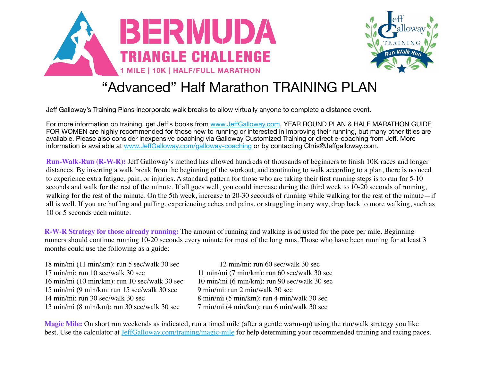



## "Advanced" Half Marathon TRAINING PLAN

Jeff Galloway's Training Plans incorporate walk breaks to allow virtually anyone to complete a distance event.

For more information on training, get Jeff's books from www.Jeff[Galloway.com.](http://www.jeffgalloway.com/) YEAR ROUND PLAN & HALF MARATHON GUIDE FOR WOMEN are highly recommended for those new to running or interested in improving their running, but many other titles are available. Please also consider inexpensive coaching via Galloway Customized Training or direct e-coaching from Jeff. More information is available at www.Jeff[Galloway.com/galloway-coaching](http://www.jeffgalloway.com/galloway-coaching) or by contacting Chris@Jeffgalloway.com.

**Run-Walk-Run (R-W-R):** Jeff Galloway's method has allowed hundreds of thousands of beginners to finish 10K races and longer distances. By inserting a walk break from the beginning of the workout, and continuing to walk according to a plan, there is no need to experience extra fatigue, pain, or injuries. A standard pattern for those who are taking their first running steps is to run for 5-10 seconds and walk for the rest of the minute. If all goes well, you could increase during the third week to 10-20 seconds of running, walking for the rest of the minute. On the 5th week, increase to 20-30 seconds of running while walking for the rest of the minute—if all is well. If you are huffing and puffing, experiencing aches and pains, or struggling in any way, drop back to more walking, such as 10 or 5 seconds each minute.

**R-W-R Strategy for those already running:** The amount of running and walking is adjusted for the pace per mile. Beginning runners should continue running 10-20 seconds every minute for most of the long runs. Those who have been running for at least 3 months could use the following as a guide:

18 min/mi (11 min/km): run 5 sec/walk 30 sec 12 min/mi: run 60 sec/walk 30 sec 17 min/mi: run 10 sec/walk 30 sec 11 min/mi (7 min/km): run 60 sec/walk 30 sec 16 min/mi (10 min/km): run 10 sec/walk 30 sec 10 min/mi (6 min/km): run 90 sec/walk 30 sec 15 min/mi (9 min/km: run 15 sec/walk 30 sec 9 min/mi: run 2 min/walk 30 sec 14 min/mi: run 30 sec/walk 30 sec  $\frac{8 \text{ min}}{\text{ min}}$  (5 min/km): run 4 min/walk 30 sec 13 min/mi (8 min/km): run 30 sec/walk 30 sec 7 min/mi (4 min/km): run 6 min/walk 30 sec

**Magic Mile:** On short run weekends as indicated, run a timed mile (after a gentle warm-up) using the run/walk strategy you like best. Use the calculator at [JeffGalloway.com/training/magic-mile](http://JeffGalloway.com/training/magic-mile) for help determining your recommended training and racing paces.